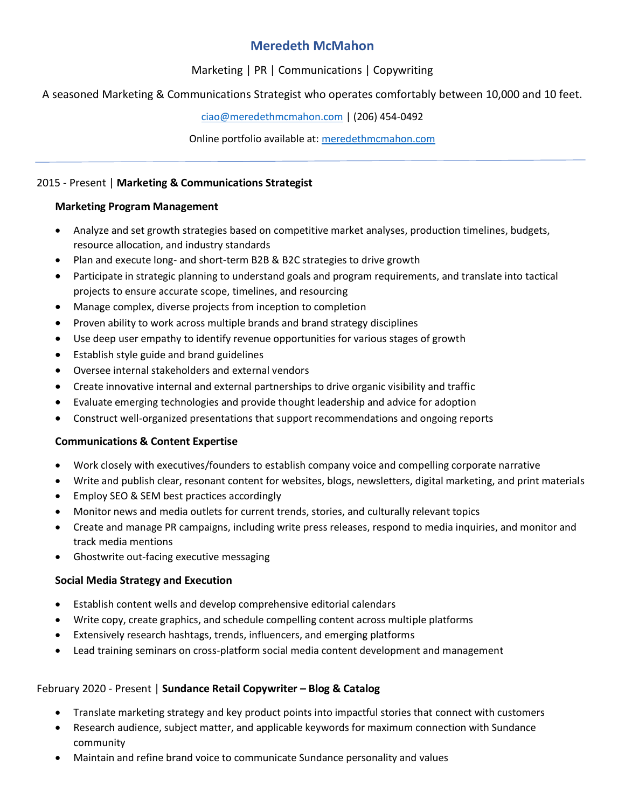# **Meredeth McMahon**

## Marketing | PR | Communications | Copywriting

## A seasoned Marketing & Communications Strategist who operates comfortably between 10,000 and 10 feet.

[ciao@meredethmcmahon.com](mailto:ciao@meredethmcmahon.com) | (206) 454-0492

Online portfolio available at: [meredethmcmahon.com](file:///C:/Users/mcfox/Downloads/meredethmcmahon.com)

### 2015 - Present | **Marketing & Communications Strategist**

### **Marketing Program Management**

- Analyze and set growth strategies based on competitive market analyses, production timelines, budgets, resource allocation, and industry standards
- Plan and execute long- and short-term B2B & B2C strategies to drive growth
- Participate in strategic planning to understand goals and program requirements, and translate into tactical projects to ensure accurate scope, timelines, and resourcing
- Manage complex, diverse projects from inception to completion
- Proven ability to work across multiple brands and brand strategy disciplines
- Use deep user empathy to identify revenue opportunities for various stages of growth
- Establish style guide and brand guidelines
- Oversee internal stakeholders and external vendors
- Create innovative internal and external partnerships to drive organic visibility and traffic
- Evaluate emerging technologies and provide thought leadership and advice for adoption
- Construct well-organized presentations that support recommendations and ongoing reports

### **Communications & Content Expertise**

- Work closely with executives/founders to establish company voice and compelling corporate narrative
- Write and publish clear, resonant content for websites, blogs, newsletters, digital marketing, and print materials
- Employ SEO & SEM best practices accordingly
- Monitor news and media outlets for current trends, stories, and culturally relevant topics
- Create and manage PR campaigns, including write press releases, respond to media inquiries, and monitor and track media mentions
- Ghostwrite out-facing executive messaging

### **Social Media Strategy and Execution**

- Establish content wells and develop comprehensive editorial calendars
- Write copy, create graphics, and schedule compelling content across multiple platforms
- Extensively research hashtags, trends, influencers, and emerging platforms
- Lead training seminars on cross-platform social media content development and management

# February 2020 - Present | **Sundance Retail Copywriter – Blog & Catalog**

- Translate marketing strategy and key product points into impactful stories that connect with customers
- Research audience, subject matter, and applicable keywords for maximum connection with Sundance community
- Maintain and refine brand voice to communicate Sundance personality and values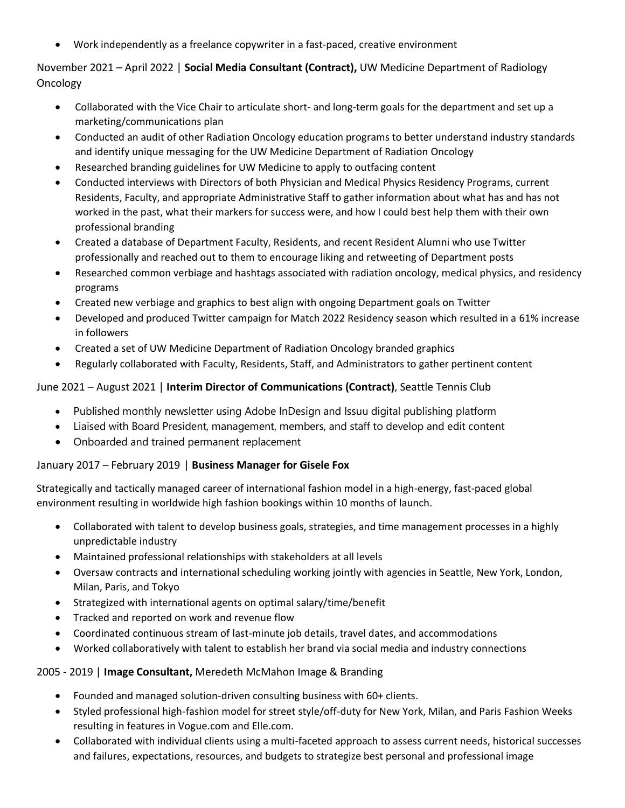• Work independently as a freelance copywriter in a fast-paced, creative environment

## November 2021 – April 2022 | **Social Media Consultant (Contract),** UW Medicine Department of Radiology Oncology

- Collaborated with the Vice Chair to articulate short- and long-term goals for the department and set up a marketing/communications plan
- Conducted an audit of other Radiation Oncology education programs to better understand industry standards and identify unique messaging for the UW Medicine Department of Radiation Oncology
- Researched branding guidelines for UW Medicine to apply to outfacing content
- Conducted interviews with Directors of both Physician and Medical Physics Residency Programs, current Residents, Faculty, and appropriate Administrative Staff to gather information about what has and has not worked in the past, what their markers for success were, and how I could best help them with their own professional branding
- Created a database of Department Faculty, Residents, and recent Resident Alumni who use Twitter professionally and reached out to them to encourage liking and retweeting of Department posts
- Researched common verbiage and hashtags associated with radiation oncology, medical physics, and residency programs
- Created new verbiage and graphics to best align with ongoing Department goals on Twitter
- Developed and produced Twitter campaign for Match 2022 Residency season which resulted in a 61% increase in followers
- Created a set of UW Medicine Department of Radiation Oncology branded graphics
- Regularly collaborated with Faculty, Residents, Staff, and Administrators to gather pertinent content

### June 2021 – August 2021 | **Interim Director of Communications (Contract)**, Seattle Tennis Club

- Published monthly newsletter using Adobe InDesign and Issuu digital publishing platform
- Liaised with Board President, management, members, and staff to develop and edit content
- Onboarded and trained permanent replacement

### January 2017 – February 2019 | **Business Manager for Gisele Fox**

Strategically and tactically managed career of international fashion model in a high-energy, fast-paced global environment resulting in worldwide high fashion bookings within 10 months of launch.

- Collaborated with talent to develop business goals, strategies, and time management processes in a highly unpredictable industry
- Maintained professional relationships with stakeholders at all levels
- Oversaw contracts and international scheduling working jointly with agencies in Seattle, New York, London, Milan, Paris, and Tokyo
- Strategized with international agents on optimal salary/time/benefit
- Tracked and reported on work and revenue flow
- Coordinated continuous stream of last-minute job details, travel dates, and accommodations
- Worked collaboratively with talent to establish her brand via social media and industry connections

### 2005 - 2019 | **Image Consultant,** Meredeth McMahon Image & Branding

- Founded and managed solution-driven consulting business with 60+ clients.
- Styled professional high-fashion model for street style/off-duty for New York, Milan, and Paris Fashion Weeks resulting in features in Vogue.com and Elle.com.
- Collaborated with individual clients using a multi-faceted approach to assess current needs, historical successes and failures, expectations, resources, and budgets to strategize best personal and professional image